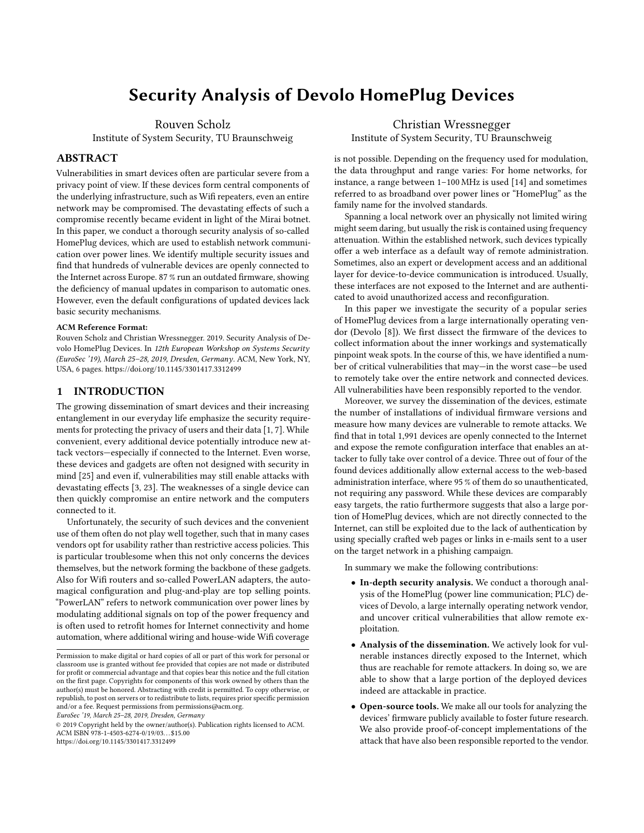# Security Analysis of Devolo HomePlug Devices

Rouven Scholz

Institute of System Security, TU Braunschweig

# ABSTRACT

Vulnerabilities in smart devices often are particular severe from a privacy point of view. If these devices form central components of the underlying infrastructure, such as Wifi repeaters, even an entire network may be compromised. The devastating effects of such a compromise recently became evident in light of the Mirai botnet. In this paper, we conduct a thorough security analysis of so-called HomePlug devices, which are used to establish network communication over power lines. We identify multiple security issues and find that hundreds of vulnerable devices are openly connected to the Internet across Europe. 87 % run an outdated firmware, showing the deficiency of manual updates in comparison to automatic ones. However, even the default configurations of updated devices lack basic security mechanisms.

#### ACM Reference Format:

Rouven Scholz and Christian Wressnegger. 2019. Security Analysis of Devolo HomePlug Devices. In 12th European Workshop on Systems Security (EuroSec '19), March 25–28, 2019, Dresden, Germany. ACM, New York, NY, USA, [6](#page-5-0) pages.<https://doi.org/10.1145/3301417.3312499>

#### 1 INTRODUCTION

The growing dissemination of smart devices and their increasing entanglement in our everyday life emphasize the security requirements for protecting the privacy of users and their data [\[1,](#page-5-1) [7\]](#page-5-2). While convenient, every additional device potentially introduce new attack vectors—especially if connected to the Internet. Even worse, these devices and gadgets are often not designed with security in mind [\[25\]](#page-5-3) and even if, vulnerabilities may still enable attacks with devastating effects [\[3,](#page-5-4) [23\]](#page-5-5). The weaknesses of a single device can then quickly compromise an entire network and the computers connected to it.

Unfortunately, the security of such devices and the convenient use of them often do not play well together, such that in many cases vendors opt for usability rather than restrictive access policies. This is particular troublesome when this not only concerns the devices themselves, but the network forming the backbone of these gadgets. Also for Wifi routers and so-called PowerLAN adapters, the automagical configuration and plug-and-play are top selling points. "PowerLAN" refers to network communication over power lines by modulating additional signals on top of the power frequency and is often used to retrofit homes for Internet connectivity and home automation, where additional wiring and house-wide Wifi coverage

EuroSec '19, March 25–28, 2019, Dresden, Germany

© 2019 Copyright held by the owner/author(s). Publication rights licensed to ACM. ACM ISBN 978-1-4503-6274-0/19/03. . . \$15.00 <https://doi.org/10.1145/3301417.3312499>

Christian Wressnegger Institute of System Security, TU Braunschweig

is not possible. Depending on the frequency used for modulation, the data throughput and range varies: For home networks, for instance, a range between 1–100 MHz is used [\[14\]](#page-5-6) and sometimes referred to as broadband over power lines or "HomePlug" as the family name for the involved standards.

Spanning a local network over an physically not limited wiring might seem daring, but usually the risk is contained using frequency attenuation. Within the established network, such devices typically offer a web interface as a default way of remote administration. Sometimes, also an expert or development access and an additional layer for device-to-device communication is introduced. Usually, these interfaces are not exposed to the Internet and are authenticated to avoid unauthorized access and reconfiguration.

In this paper we investigate the security of a popular series of HomePlug devices from a large internationally operating vendor (Devolo [\[8\]](#page-5-7)). We first dissect the firmware of the devices to collect information about the inner workings and systematically pinpoint weak spots. In the course of this, we have identified a number of critical vulnerabilities that may—in the worst case—be used to remotely take over the entire network and connected devices. All vulnerabilities have been responsibly reported to the vendor.

Moreover, we survey the dissemination of the devices, estimate the number of installations of individual firmware versions and measure how many devices are vulnerable to remote attacks. We find that in total <sup>1</sup>,<sup>991</sup> devices are openly connected to the Internet and expose the remote configuration interface that enables an attacker to fully take over control of a device. Three out of four of the found devices additionally allow external access to the web-based administration interface, where 95 % of them do so unauthenticated, not requiring any password. While these devices are comparably easy targets, the ratio furthermore suggests that also a large portion of HomePlug devices, which are not directly connected to the Internet, can still be exploited due to the lack of authentication by using specially crafted web pages or links in e-mails sent to a user on the target network in a phishing campaign.

In summary we make the following contributions:

- In-depth security analysis. We conduct a thorough analysis of the HomePlug (power line communication; PLC) devices of Devolo, a large internally operating network vendor, and uncover critical vulnerabilities that allow remote exploitation.
- Analysis of the dissemination. We actively look for vulnerable instances directly exposed to the Internet, which thus are reachable for remote attackers. In doing so, we are able to show that a large portion of the deployed devices indeed are attackable in practice.
- Open-source tools. We make all our tools for analyzing the devices' firmware publicly available to foster future research. We also provide proof-of-concept implementations of the attack that have also been responsible reported to the vendor.

Permission to make digital or hard copies of all or part of this work for personal or classroom use is granted without fee provided that copies are not made or distributed for profit or commercial advantage and that copies bear this notice and the full citation on the first page. Copyrights for components of this work owned by others than the author(s) must be honored. Abstracting with credit is permitted. To copy otherwise, or republish, to post on servers or to redistribute to lists, requires prior specific permission and/or a fee. Request permissions from permissions@acm.org.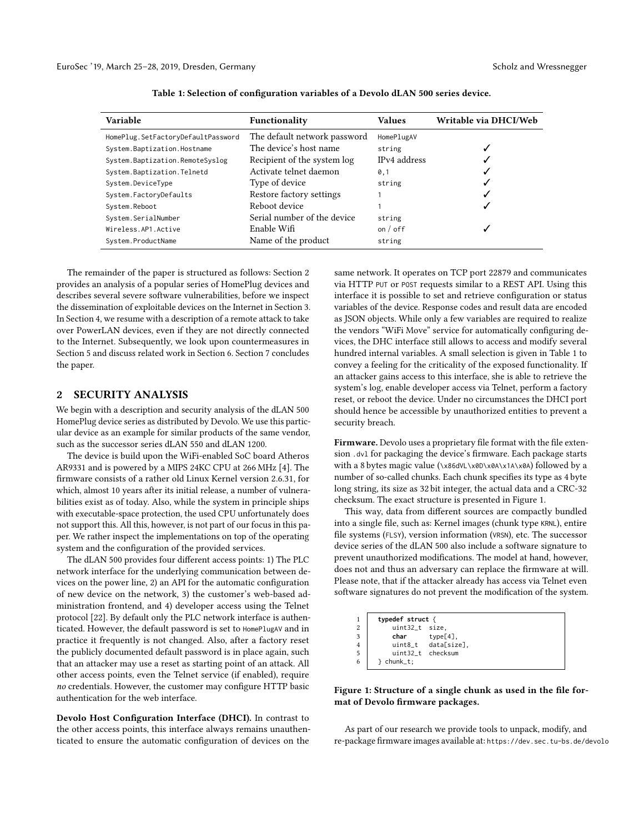<span id="page-1-1"></span>

| Variable                           | Functionality                | <b>Values</b> | Writable via DHCI/Web |
|------------------------------------|------------------------------|---------------|-----------------------|
| HomePlug.SetFactoryDefaultPassword | The default network password | HomePlugAV    |                       |
| System.Baptization.Hostname        | The device's host name       | string        |                       |
| System.Baptization.RemoteSyslog    | Recipient of the system log  | IPv4 address  |                       |
| System.Baptization.Telnetd         | Activate telnet daemon       | 0,1           |                       |
| System.DeviceType                  | Type of device               | string        |                       |
| System.FactoryDefaults             | Restore factory settings     |               |                       |
| System. Reboot                     | Reboot device                |               |                       |
| System.SerialNumber                | Serial number of the device  | string        |                       |
| Wireless.AP1.Active                | Enable Wifi                  | on $/$ of f   |                       |
| System.ProductName                 | Name of the product          | string        |                       |

| Table 1: Selection of configuration variables of a Devolo dLAN 500 series device. |  |  |  |
|-----------------------------------------------------------------------------------|--|--|--|
|                                                                                   |  |  |  |

The remainder of the paper is structured as follows: [Section 2](#page-1-0) provides an analysis of a popular series of HomePlug devices and describes several severe software vulnerabilities, before we inspect the dissemination of exploitable devices on the Internet in [Section 3.](#page-2-0) In [Section 4,](#page-3-0) we resume with a description of a remote attack to take over PowerLAN devices, even if they are not directly connected to the Internet. Subsequently, we look upon countermeasures in [Section 5](#page-4-0) and discuss related work in [Section 6.](#page-4-1) [Section 7](#page-4-2) concludes the paper.

#### <span id="page-1-0"></span>2 SECURITY ANALYSIS

We begin with a description and security analysis of the dLAN 500 HomePlug device series as distributed by Devolo. We use this particular device as an example for similar products of the same vendor, such as the successor series dLAN 550 and dLAN 1200.

The device is build upon the WiFi-enabled SoC board Atheros AR9331 and is powered by a MIPS 24KC CPU at 266 MHz [\[4\]](#page-5-8). The firmware consists of a rather old Linux Kernel version 2.6.31, for which, almost 10 years after its initial release, a number of vulnerabilities exist as of today. Also, while the system in principle ships with executable-space protection, the used CPU unfortunately does not support this. All this, however, is not part of our focus in this paper. We rather inspect the implementations on top of the operating system and the configuration of the provided services.

The dLAN 500 provides four different access points: 1) The PLC network interface for the underlying communication between devices on the power line, 2) an API for the automatic configuration of new device on the network, 3) the customer's web-based administration frontend, and 4) developer access using the Telnet protocol [\[22\]](#page-5-9). By default only the PLC network interface is authenticated. However, the default password is set to HomePlugAV and in practice it frequently is not changed. Also, after a factory reset the publicly documented default password is in place again, such that an attacker may use a reset as starting point of an attack. All other access points, even the Telnet service (if enabled), require no credentials. However, the customer may configure HTTP basic authentication for the web interface.

Devolo Host Configuration Interface (DHCI). In contrast to the other access points, this interface always remains unauthenticated to ensure the automatic configuration of devices on the

same network. It operates on TCP port 22879 and communicates via HTTP PUT or POST requests similar to a REST API. Using this interface it is possible to set and retrieve configuration or status variables of the device. Response codes and result data are encoded as JSON objects. While only a few variables are required to realize the vendors "WiFi Move" service for automatically configuring devices, the DHC interface still allows to access and modify several hundred internal variables. A small selection is given in [Table 1](#page-1-1) to convey a feeling for the criticality of the exposed functionality. If an attacker gains access to this interface, she is able to retrieve the system's log, enable developer access via Telnet, perform a factory reset, or reboot the device. Under no circumstances the DHCI port should hence be accessible by unauthorized entities to prevent a security breach.

Firmware. Devolo uses a proprietary file format with the file extension .dvl for packaging the device's firmware. Each package starts with a 8 bytes magic value (\x86dVL\x0D\x0A\x1A\x0A) followed by a number of so-called chunks. Each chunk specifies its type as 4 byte long string, its size as 32 bit integer, the actual data and a CRC-32 checksum. The exact structure is presented in [Figure 1.](#page-1-2)

This way, data from different sources are compactly bundled into a single file, such as: Kernel images (chunk type KRNL), entire file systems (FLSY), version information (VRSN), etc. The successor device series of the dLAN 500 also include a software signature to prevent unauthorized modifications. The model at hand, however, does not and thus an adversary can replace the firmware at will. Please note, that if the attacker already has access via Telnet even software signatures do not prevent the modification of the system.

<span id="page-1-2"></span>

|                | typedef struct $\{$ |                     |  |  |
|----------------|---------------------|---------------------|--|--|
| $\overline{2}$ | uint32_t size,      |                     |  |  |
| 3              | char                | $type[4]$ ,         |  |  |
|                |                     | uint8_t data[size], |  |  |
|                |                     | uint32_t checksum   |  |  |
| 6              | $chunk_t$ :         |                     |  |  |

Figure 1: Structure of a single chunk as used in the file format of Devolo firmware packages.

As part of our research we provide tools to unpack, modify, and re-package firmware images available at: <https://dev.sec.tu-bs.de/devolo>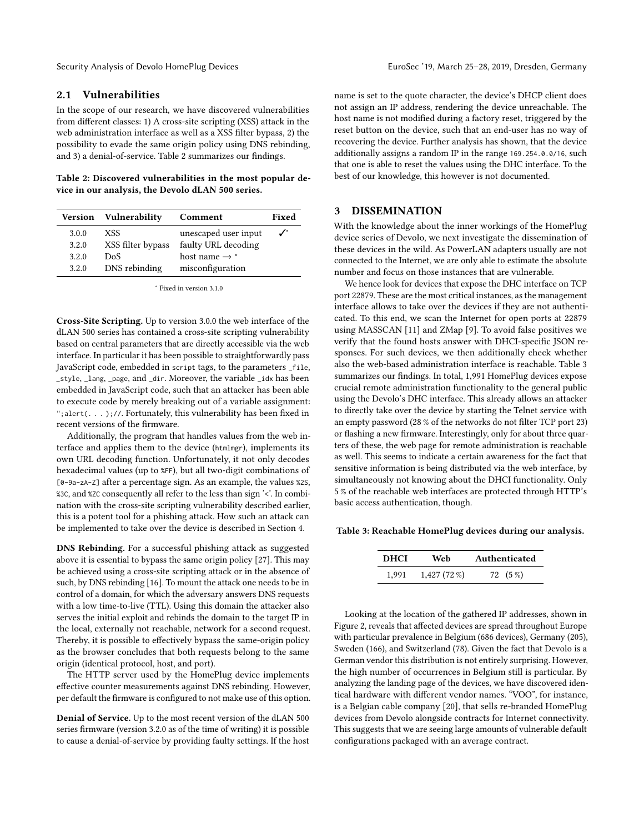# <span id="page-2-4"></span>2.1 Vulnerabilities

In the scope of our research, we have discovered vulnerabilities from different classes: 1) A cross-site scripting (XSS) attack in the web administration interface as well as a XSS filter bypass, 2) the possibility to evade the same origin policy using DNS rebinding, and 3) a denial-of-service. [Table 2](#page-2-1) summarizes our findings.

<span id="page-2-1"></span>Table 2: Discovered vulnerabilities in the most popular device in our analysis, the Devolo dLAN 500 series.

|       | Version Vulnerability | Comment                   | Fixed |
|-------|-----------------------|---------------------------|-------|
| 3.0.0 | <b>XSS</b>            | unescaped user input      |       |
| 3.2.0 | XSS filter bypass     | faulty URL decoding       |       |
| 3.2.0 | DoS                   | host name $\rightarrow$ " |       |
| 3.2.0 | DNS rebinding         | misconfiguration          |       |

<span id="page-2-2"></span>∗ Fixed in version 3.1.0

Cross-Site Scripting. Up to version 3.0.0 the web interface of the dLAN 500 series has contained a cross-site scripting vulnerability based on central parameters that are directly accessible via the web interface. In particular it has been possible to straightforwardly pass JavaScript code, embedded in script tags, to the parameters \_file, \_style, \_lang, \_page, and \_dir. Moreover, the variable \_idx has been embedded in JavaScript code, such that an attacker has been able to execute code by merely breaking out of a variable assignment: ";alert(. . . );//. Fortunately, this vulnerability has been fixed in recent versions of the firmware.

Additionally, the program that handles values from the web interface and applies them to the device (htmlmgr), implements its own URL decoding function. Unfortunately, it not only decodes hexadecimal values (up to %FF), but all two-digit combinations of [0-9a-zA-Z] after a percentage sign. As an example, the values %2S, %3C, and %ZC consequently all refer to the less than sign '<'. In combination with the cross-site scripting vulnerability described earlier, this is a potent tool for a phishing attack. How such an attack can be implemented to take over the device is described in [Section 4.](#page-3-0)

DNS Rebinding. For a successful phishing attack as suggested above it is essential to bypass the same origin policy [\[27\]](#page-5-10). This may be achieved using a cross-site scripting attack or in the absence of such, by DNS rebinding [\[16\]](#page-5-11). To mount the attack one needs to be in control of a domain, for which the adversary answers DNS requests with a low time-to-live (TTL). Using this domain the attacker also serves the initial exploit and rebinds the domain to the target IP in the local, externally not reachable, network for a second request. Thereby, it is possible to effectively bypass the same-origin policy as the browser concludes that both requests belong to the same origin (identical protocol, host, and port).

The HTTP server used by the HomePlug device implements effective counter measurements against DNS rebinding. However, per default the firmware is configured to not make use of this option.

Denial of Service. Up to the most recent version of the dLAN 500 series firmware (version 3.2.0 as of the time of writing) it is possible to cause a denial-of-service by providing faulty settings. If the host name is set to the quote character, the device's DHCP client does not assign an IP address, rendering the device unreachable. The host name is not modified during a factory reset, triggered by the reset button on the device, such that an end-user has no way of recovering the device. Further analysis has shown, that the device additionally assigns a random IP in the range 169.254.0.0/16, such that one is able to reset the values using the DHC interface. To the best of our knowledge, this however is not documented.

#### <span id="page-2-0"></span>3 DISSEMINATION

With the knowledge about the inner workings of the HomePlug device series of Devolo, we next investigate the dissemination of these devices in the wild. As PowerLAN adapters usually are not connected to the Internet, we are only able to estimate the absolute number and focus on those instances that are vulnerable.

We hence look for devices that expose the DHC interface on TCP port 22879. These are the most critical instances, as the management interface allows to take over the devices if they are not authenticated. To this end, we scan the Internet for open ports at 22879 using MASSCAN [\[11\]](#page-5-12) and ZMap [\[9\]](#page-5-13). To avoid false positives we verify that the found hosts answer with DHCI-specific JSON responses. For such devices, we then additionally check whether also the web-based administration interface is reachable. [Table 3](#page-2-3) summarizes our findings. In total, <sup>1</sup>,<sup>991</sup> HomePlug devices expose crucial remote administration functionality to the general public using the Devolo's DHC interface. This already allows an attacker to directly take over the device by starting the Telnet service with an empty password (28 % of the networks do not filter TCP port 23) or flashing a new firmware. Interestingly, only for about three quarters of these, the web page for remote administration is reachable as well. This seems to indicate a certain awareness for the fact that sensitive information is being distributed via the web interface, by simultaneously not knowing about the DHCI functionality. Only 5 % of the reachable web interfaces are protected through HTTP's basic access authentication, though.

<span id="page-2-3"></span>Table 3: Reachable HomePlug devices during our analysis.

| <b>DHCI</b> | Web           | Authenticated |  |
|-------------|---------------|---------------|--|
| 1.991       | $1,427(72\%)$ | 72(5%)        |  |

Looking at the location of the gathered IP addresses, shown in [Figure 2,](#page-3-1) reveals that affected devices are spread throughout Europe with particular prevalence in Belgium (686 devices), Germany (205), Sweden (166), and Switzerland (78). Given the fact that Devolo is a German vendor this distribution is not entirely surprising. However, the high number of occurrences in Belgium still is particular. By analyzing the landing page of the devices, we have discovered identical hardware with different vendor names. "VOO", for instance, is a Belgian cable company [\[20\]](#page-5-14), that sells re-branded HomePlug devices from Devolo alongside contracts for Internet connectivity. This suggests that we are seeing large amounts of vulnerable default configurations packaged with an average contract.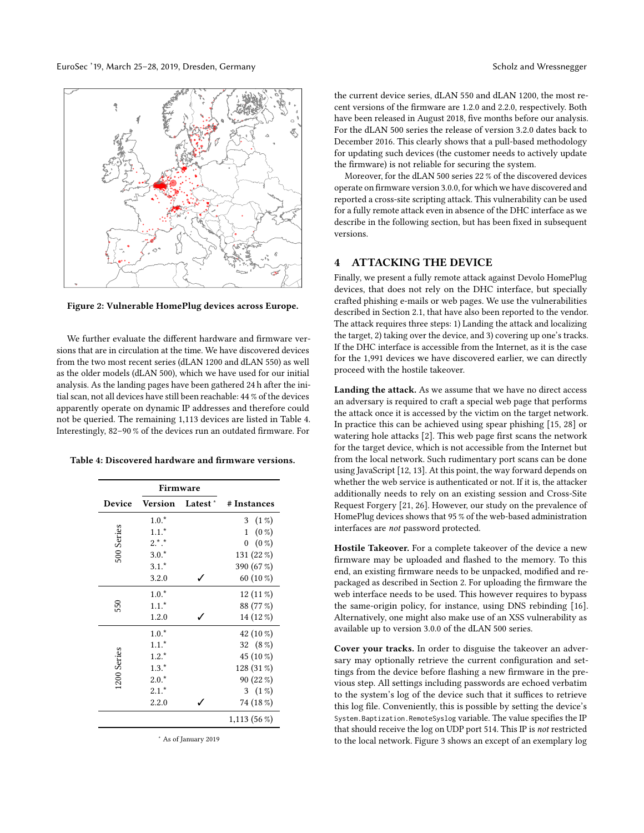<span id="page-3-1"></span>

Figure 2: Vulnerable HomePlug devices across Europe.

We further evaluate the different hardware and firmware versions that are in circulation at the time. We have discovered devices from the two most recent series (dLAN 1200 and dLAN 550) as well as the older models (dLAN 500), which we have used for our initial analysis. As the landing pages have been gathered 24 h after the initial scan, not all devices have still been reachable: 44 % of the devices apparently operate on dynamic IP addresses and therefore could not be queried. The remaining <sup>1</sup>,<sup>113</sup> devices are listed in [Table 4.](#page-3-2) Interestingly, 82–90 % of the devices run an outdated firmware. For

<span id="page-3-2"></span>Table 4: Discovered hardware and firmware versions.

|             | Firmware       |                     |                          |
|-------------|----------------|---------------------|--------------------------|
| Device      | <b>Version</b> | Latest <sup>*</sup> | # Instances              |
|             | $1.0.*$        |                     | 3 $(1%)$                 |
| 500 Series  | $1.1.*$        |                     | $(0 \%)$<br>$\mathbf{1}$ |
|             | $2.*.*$        |                     | $(0  \% )$<br>$\bf{0}$   |
|             | $3.0.*$        |                     | 131 (22 %)               |
|             | $3.1.*$        |                     | 390 (67 %)               |
|             | 3.2.0          |                     | 60 (10 %)                |
|             | $1.0.*$        |                     | 12 (11 %)                |
| 550         | $1.1.*$        |                     | 88 (77 %)                |
|             | 1.2.0          |                     | 14 (12 %)                |
|             | $1.0.*$        |                     | 42 (10 %)                |
|             | $1.1.*$        |                     | 32 (8 %)                 |
|             | $1.2.*$        |                     | 45 (10 %)                |
| 1200 Series | $1.3.*$        |                     | 128 (31%)                |
|             | $2.0.*$        |                     | 90 (22 %)                |
|             | $2.1.*$        |                     | 3 $(1%)$                 |
|             | 2.2.0          |                     | 74 (18%)                 |
|             |                |                     | $1,113(56\%)$            |

<span id="page-3-3"></span><sup>∗</sup> As of January 2019

the current device series, dLAN 550 and dLAN 1200, the most recent versions of the firmware are 1.2.0 and 2.2.0, respectively. Both have been released in August 2018, five months before our analysis. For the dLAN 500 series the release of version 3.2.0 dates back to December 2016. This clearly shows that a pull-based methodology for updating such devices (the customer needs to actively update the firmware) is not reliable for securing the system.

Moreover, for the dLAN 500 series 22 % of the discovered devices operate on firmware version 3.0.0, for which we have discovered and reported a cross-site scripting attack. This vulnerability can be used for a fully remote attack even in absence of the DHC interface as we describe in the following section, but has been fixed in subsequent versions.

#### <span id="page-3-0"></span>4 ATTACKING THE DEVICE

Finally, we present a fully remote attack against Devolo HomePlug devices, that does not rely on the DHC interface, but specially crafted phishing e-mails or web pages. We use the vulnerabilities described in [Section 2.1,](#page-2-4) that have also been reported to the vendor. The attack requires three steps: 1) Landing the attack and localizing the target, 2) taking over the device, and 3) covering up one's tracks. If the DHC interface is accessible from the Internet, as it is the case for the <sup>1</sup>,<sup>991</sup> devices we have discovered earlier, we can directly proceed with the hostile takeover.

Landing the attack. As we assume that we have no direct access an adversary is required to craft a special web page that performs the attack once it is accessed by the victim on the target network. In practice this can be achieved using spear phishing [\[15,](#page-5-15) [28\]](#page-5-16) or watering hole attacks [\[2\]](#page-5-17). This web page first scans the network for the target device, which is not accessible from the Internet but from the local network. Such rudimentary port scans can be done using JavaScript [\[12,](#page-5-18) [13\]](#page-5-19). At this point, the way forward depends on whether the web service is authenticated or not. If it is, the attacker additionally needs to rely on an existing session and Cross-Site Request Forgery [\[21,](#page-5-20) [26\]](#page-5-21). However, our study on the prevalence of HomePlug devices shows that 95 % of the web-based administration interfaces are not password protected.

Hostile Takeover. For a complete takeover of the device a new firmware may be uploaded and flashed to the memory. To this end, an existing firmware needs to be unpacked, modified and repackaged as described in [Section 2.](#page-1-0) For uploading the firmware the web interface needs to be used. This however requires to bypass the same-origin policy, for instance, using DNS rebinding [\[16\]](#page-5-11). Alternatively, one might also make use of an XSS vulnerability as available up to version 3.0.0 of the dLAN 500 series.

Cover your tracks. In order to disguise the takeover an adversary may optionally retrieve the current configuration and settings from the device before flashing a new firmware in the previous step. All settings including passwords are echoed verbatim to the system's log of the device such that it suffices to retrieve this log file. Conveniently, this is possible by setting the device's System.Baptization.RemoteSyslog variable. The value specifies the IP that should receive the log on UDP port 514. This IP is not restricted to the local network. [Figure 3](#page-4-3) shows an except of an exemplary log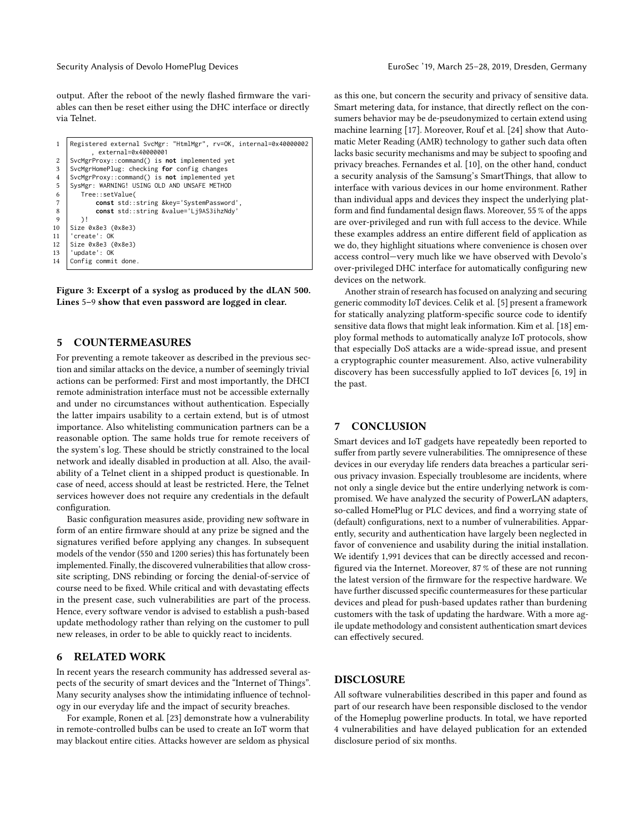output. After the reboot of the newly flashed firmware the variables can then be reset either using the DHC interface or directly via Telnet.

<span id="page-4-3"></span>1 Registered external SvcMgr: "HtmlMgr", rv=OK, internal=0x40000002 , external=0x40000001 2 SvcMgrProxy::command() is **not** implemented yet<br>3 SvcMgrHomePlug: checking for config changes 3 SvcMgrHomePlug: checking **for** config changes 4 SvcMgrProxy::command() is **not** implemented yet 5 SysMgr: WARNING! USING OLD AND UNSAFE METHOD 6 Tree::setValue( 7 **const** std::string &key='SystemPassword', 8 **const** std::string &value='Lj9AS3ihzNdy'<br>9 )!  $\begin{array}{c|c} 9 & \phantom{0} \end{array}$  )!<br>10 Size 10 Size  $0 \times 8 = 3$  ( $0 \times 8 = 3$ )<br>11 create': OK .<br>create': OK' 12 Size 0x8e3 (0x8e3) 13 | 'update': OK<br>14 | Config commi Config commit done.

Figure 3: Excerpt of a syslog as produced by the dLAN 500. Lines 5–9 show that even password are logged in clear.

#### <span id="page-4-0"></span>5 COUNTERMEASURES

For preventing a remote takeover as described in the previous section and similar attacks on the device, a number of seemingly trivial actions can be performed: First and most importantly, the DHCI remote administration interface must not be accessible externally and under no circumstances without authentication. Especially the latter impairs usability to a certain extend, but is of utmost importance. Also whitelisting communication partners can be a reasonable option. The same holds true for remote receivers of the system's log. These should be strictly constrained to the local network and ideally disabled in production at all. Also, the availability of a Telnet client in a shipped product is questionable. In case of need, access should at least be restricted. Here, the Telnet services however does not require any credentials in the default configuration.

Basic configuration measures aside, providing new software in form of an entire firmware should at any prize be signed and the signatures verified before applying any changes. In subsequent models of the vendor (550 and 1200 series) this has fortunately been implemented. Finally, the discovered vulnerabilities that allow crosssite scripting, DNS rebinding or forcing the denial-of-service of course need to be fixed. While critical and with devastating effects in the present case, such vulnerabilities are part of the process. Hence, every software vendor is advised to establish a push-based update methodology rather than relying on the customer to pull new releases, in order to be able to quickly react to incidents.

### <span id="page-4-1"></span>6 RELATED WORK

In recent years the research community has addressed several aspects of the security of smart devices and the "Internet of Things". Many security analyses show the intimidating influence of technology in our everyday life and the impact of security breaches.

For example, Ronen et al. [\[23\]](#page-5-5) demonstrate how a vulnerability in remote-controlled bulbs can be used to create an IoT worm that may blackout entire cities. Attacks however are seldom as physical as this one, but concern the security and privacy of sensitive data. Smart metering data, for instance, that directly reflect on the consumers behavior may be de-pseudonymized to certain extend using machine learning [\[17\]](#page-5-22). Moreover, Rouf et al. [\[24\]](#page-5-23) show that Automatic Meter Reading (AMR) technology to gather such data often lacks basic security mechanisms and may be subject to spoofing and privacy breaches. Fernandes et al. [\[10\]](#page-5-24), on the other hand, conduct a security analysis of the Samsung's SmartThings, that allow to interface with various devices in our home environment. Rather than individual apps and devices they inspect the underlying platform and find fundamental design flaws. Moreover, 55 % of the apps are over-privileged and run with full access to the device. While these examples address an entire different field of application as we do, they highlight situations where convenience is chosen over access control—very much like we have observed with Devolo's over-privileged DHC interface for automatically configuring new devices on the network.

Another strain of research has focused on analyzing and securing generic commodity IoT devices. Celik et al. [\[5\]](#page-5-25) present a framework for statically analyzing platform-specific source code to identify sensitive data flows that might leak information. Kim et al. [\[18\]](#page-5-26) employ formal methods to automatically analyze IoT protocols, show that especially DoS attacks are a wide-spread issue, and present a cryptographic counter measurement. Also, active vulnerability discovery has been successfully applied to IoT devices [\[6,](#page-5-27) [19\]](#page-5-28) in the past.

#### <span id="page-4-2"></span>7 CONCLUSION

Smart devices and IoT gadgets have repeatedly been reported to suffer from partly severe vulnerabilities. The omnipresence of these devices in our everyday life renders data breaches a particular serious privacy invasion. Especially troublesome are incidents, where not only a single device but the entire underlying network is compromised. We have analyzed the security of PowerLAN adapters, so-called HomePlug or PLC devices, and find a worrying state of (default) configurations, next to a number of vulnerabilities. Apparently, security and authentication have largely been neglected in favor of convenience and usability during the initial installation. We identify <sup>1</sup>,<sup>991</sup> devices that can be directly accessed and reconfigured via the Internet. Moreover, 87 % of these are not running the latest version of the firmware for the respective hardware. We have further discussed specific countermeasures for these particular devices and plead for push-based updates rather than burdening customers with the task of updating the hardware. With a more agile update methodology and consistent authentication smart devices can effectively secured.

# DISCLOSURE

All software vulnerabilities described in this paper and found as part of our research have been responsible disclosed to the vendor of the Homeplug powerline products. In total, we have reported 4 vulnerabilities and have delayed publication for an extended disclosure period of six months.